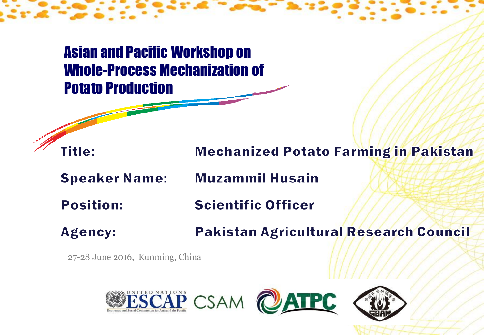Asian and Pacific Workshop on Whole-Process Mechanization of Potato Production



**Speaker Name:** 

**Title:** 

**Muzammil Husain** 

**Position: Scientific Officer** 

Pakistan Agricultural Research Council **Agency:** 

27-28 June 2016, Kunming, China



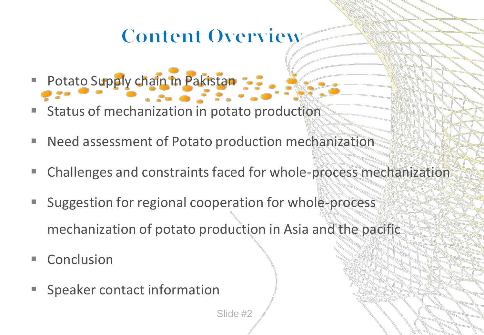### **Content Overview**

- Potato Supply chain in Pakistan
- Status of mechanization in potato production
- Need assessment of Potato production mechanization
- Challenges and constraints faced for whole-process mechanization
- Suggestion for regional cooperation for whole-process mechanization of potato production in Asia and the pacific
- Conclusion
- Speaker contact information

Slide #2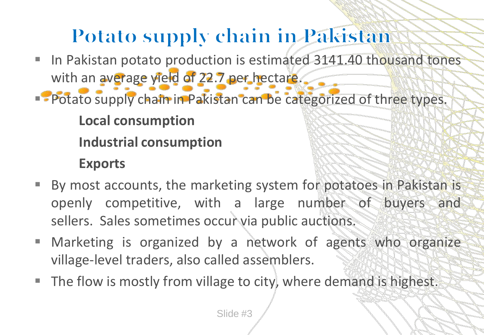# **Potato supply chain in Pakistan**

- In Pakistan potato production is estimated 3141.40 thousand tones with an average yield of 22.7 per hectare.
- **Potato supply chain in Pakistan can be categorized of three types. Local consumption Industrial consumption Exports**
- By most accounts, the marketing system for potatoes in Pakistan is openly competitive, with a large number of buyers and sellers. Sales sometimes occur via public auctions.
- Marketing is organized by a network of agents who organize village-level traders, also called assemblers.
- The flow is mostly from village to city, where demand is highest.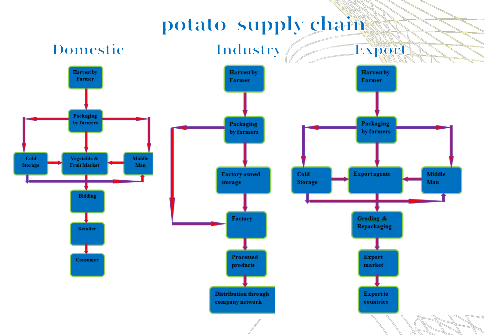### potato supply chain

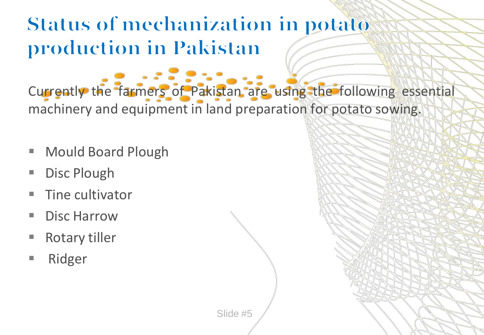### **Status of mechanization in potato** production in Pakistan

Currently the farmers of Pakistan are using the following essential machinery and equipment in land preparation for potato sowing.

- **Nould Board Plough**
- **Disc Plough**
- Tine cultivator
- Disc Harrow
- Rotary tiller
- Ridger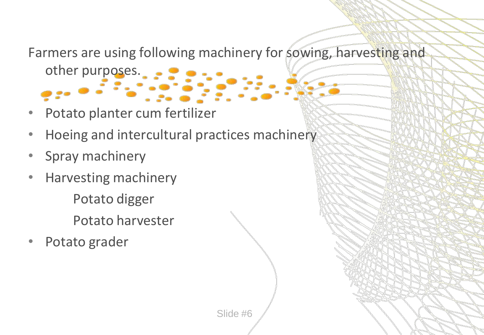Farmers are using following machinery for sowing, harvesting and

other purposes.

- Potato planter cum fertilizer
- Hoeing and intercultural practices machinery
- Spray machinery
- Harvesting machinery Potato digger
	- Potato harvester
- Potato grader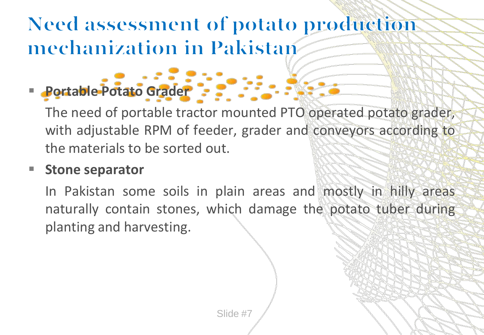### **Need assessment of potato production** mechanization in Pakistan

**Portable Potato Grader** 

The need of portable tractor mounted PTO operated potato grader, with adjustable RPM of feeder, grader and conveyors according to the materials to be sorted out.

#### **Stone separator**

In Pakistan some soils in plain areas and mostly in hilly areas naturally contain stones, which damage the potato tuber during planting and harvesting.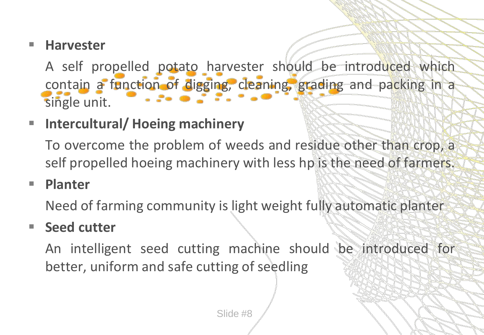#### **Harvester**

A self propelled potato harvester should be introduced which contain a function of digging, cleaning, grading and packing in a single unit.

#### **Intercultural/ Hoeing machinery**

To overcome the problem of weeds and residue other than crop, a self propelled hoeing machinery with less hp is the need of farmers.

#### **Planter**

Need of farming community is light weight fully automatic planter

#### ■ Seed cutter

An intelligent seed cutting machine should be introduced for better, uniform and safe cutting of seedling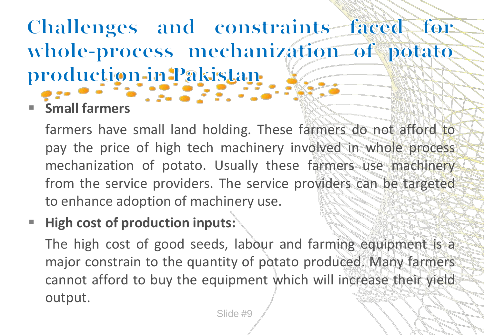# Challenges and constraints faced for whole-process mechanization of potato production-in Pakistan-

**Small farmers**

farmers have small land holding. These farmers do not afford to pay the price of high tech machinery involved in whole process mechanization of potato. Usually these farmers use machinery from the service providers. The service providers can be targeted to enhance adoption of machinery use.

#### **High cost of production inputs:**

The high cost of good seeds, labour and farming equipment is a major constrain to the quantity of potato produced. Many farmers cannot afford to buy the equipment which will increase their yield output.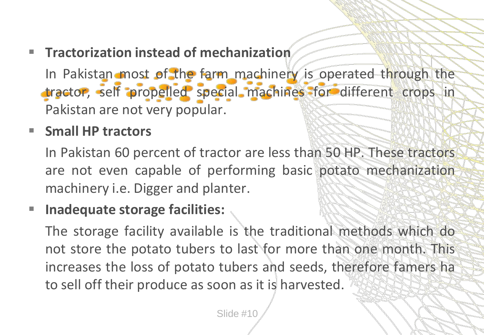**Tractorization instead of mechanization**

In Pakistan most of the farm machinery is operated through the tractor, self propelled special machines for different crops in Pakistan are not very popular.

#### **Small HP tractors**

In Pakistan 60 percent of tractor are less than 50 HP. These tractors are not even capable of performing basic potato mechanization machinery i.e. Digger and planter.

#### **Inadequate storage facilities:**

The storage facility available is the traditional methods which do not store the potato tubers to last for more than one month. This increases the loss of potato tubers and seeds, therefore famers ha to sell off their produce as soon as it is harvested.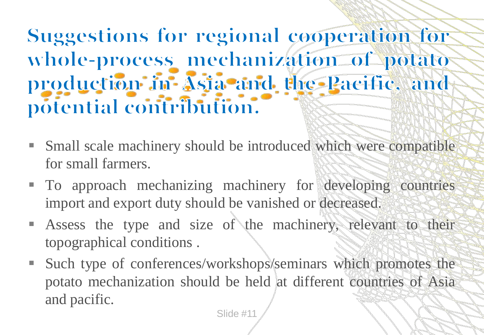# **Suggestions for regional cooperation for** whole-process mechanization of potato production in Asia and the Pacific, and potential contribution.

- Small scale machinery should be introduced which were compatible for small farmers.
- $\blacksquare$  To approach mechanizing machinery for developing countries import and export duty should be vanished or decreased.
- Assess the type and size of the machinery, relevant to their topographical conditions .
- Such type of conferences/workshops/seminars which promotes the potato mechanization should be held at different countries of Asia and pacific.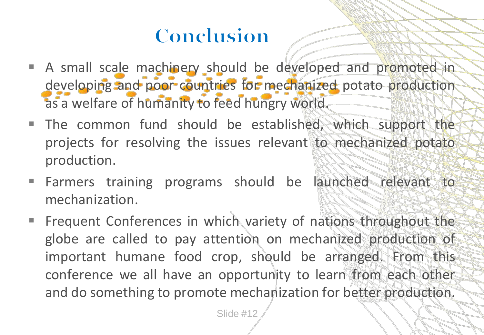# Conclusion

- A small scale machinery should be developed and promoted in developing and poor countries for mechanized potato production as a welfare of humanity to feed hungry world.
- The common fund should be established, which support the projects for resolving the issues relevant to mechanized potato production.
- **Farmers training programs should be launched relevant to** mechanization.
- Frequent Conferences in which variety of nations throughout the globe are called to pay attention on mechanized production of important humane food crop, should be arranged. From this conference we all have an opportunity to learn from each other and do something to promote mechanization for better production.